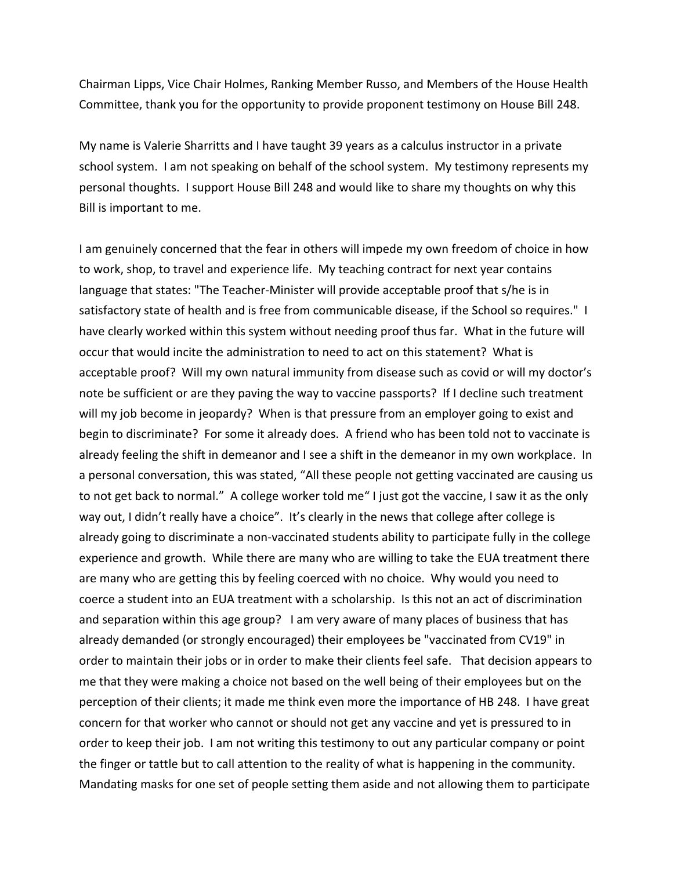Chairman Lipps, Vice Chair Holmes, Ranking Member Russo, and Members of the House Health Committee, thank you for the opportunity to provide proponent testimony on House Bill 248.

My name is Valerie Sharritts and I have taught 39 years as a calculus instructor in a private school system. I am not speaking on behalf of the school system. My testimony represents my personal thoughts. I support House Bill 248 and would like to share my thoughts on why this Bill is important to me.

I am genuinely concerned that the fear in others will impede my own freedom of choice in how to work, shop, to travel and experience life. My teaching contract for next year contains language that states: "The Teacher-Minister will provide acceptable proof that s/he is in satisfactory state of health and is free from communicable disease, if the School so requires." I have clearly worked within this system without needing proof thus far. What in the future will occur that would incite the administration to need to act on this statement? What is acceptable proof? Will my own natural immunity from disease such as covid or will my doctor's note be sufficient or are they paving the way to vaccine passports? If I decline such treatment will my job become in jeopardy? When is that pressure from an employer going to exist and begin to discriminate? For some it already does. A friend who has been told not to vaccinate is already feeling the shift in demeanor and I see a shift in the demeanor in my own workplace. In a personal conversation, this was stated, "All these people not getting vaccinated are causing us to not get back to normal." A college worker told me" I just got the vaccine, I saw it as the only way out, I didn't really have a choice". It's clearly in the news that college after college is already going to discriminate a non-vaccinated students ability to participate fully in the college experience and growth. While there are many who are willing to take the EUA treatment there are many who are getting this by feeling coerced with no choice. Why would you need to coerce a student into an EUA treatment with a scholarship. Is this not an act of discrimination and separation within this age group? I am very aware of many places of business that has already demanded (or strongly encouraged) their employees be "vaccinated from CV19" in order to maintain their jobs or in order to make their clients feel safe. That decision appears to me that they were making a choice not based on the well being of their employees but on the perception of their clients; it made me think even more the importance of HB 248. I have great concern for that worker who cannot or should not get any vaccine and yet is pressured to in order to keep their job. I am not writing this testimony to out any particular company or point the finger or tattle but to call attention to the reality of what is happening in the community. Mandating masks for one set of people setting them aside and not allowing them to participate